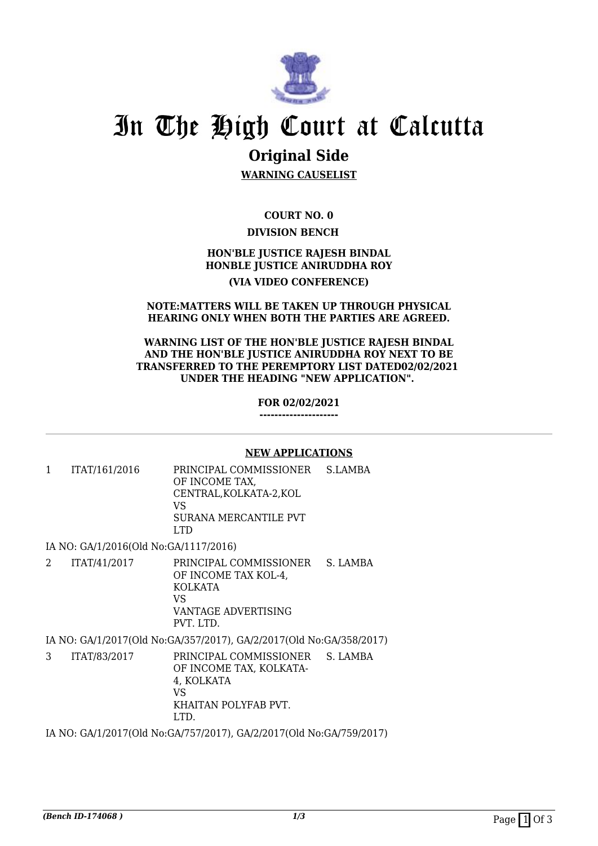

# In The High Court at Calcutta

## **Original Side**

**WARNING CAUSELIST**

**COURT NO. 0 DIVISION BENCH** 

### **HON'BLE JUSTICE RAJESH BINDAL HONBLE JUSTICE ANIRUDDHA ROY**

#### **(VIA VIDEO CONFERENCE)**

#### **NOTE:MATTERS WILL BE TAKEN UP THROUGH PHYSICAL HEARING ONLY WHEN BOTH THE PARTIES ARE AGREED.**

#### **WARNING LIST OF THE HON'BLE JUSTICE RAJESH BINDAL AND THE HON'BLE JUSTICE ANIRUDDHA ROY NEXT TO BE TRANSFERRED TO THE PEREMPTORY LIST DATED02/02/2021 UNDER THE HEADING "NEW APPLICATION".**

**FOR 02/02/2021**

**---------------------**

#### **NEW APPLICATIONS**

1 ITAT/161/2016 PRINCIPAL COMMISSIONER OF INCOME TAX, CENTRAL,KOLKATA-2,KOL VS SURANA MERCANTILE PVT LTD S.LAMBA

IA NO: GA/1/2016(Old No:GA/1117/2016)

2 ITAT/41/2017 PRINCIPAL COMMISSIONER OF INCOME TAX KOL-4, KOLKATA VS VANTAGE ADVERTISING PVT. LTD. S. LAMBA

IA NO: GA/1/2017(Old No:GA/357/2017), GA/2/2017(Old No:GA/358/2017)

3 ITAT/83/2017 PRINCIPAL COMMISSIONER OF INCOME TAX, KOLKATA-4, KOLKATA VS KHAITAN POLYFAB PVT. LTD. S. LAMBA

IA NO: GA/1/2017(Old No:GA/757/2017), GA/2/2017(Old No:GA/759/2017)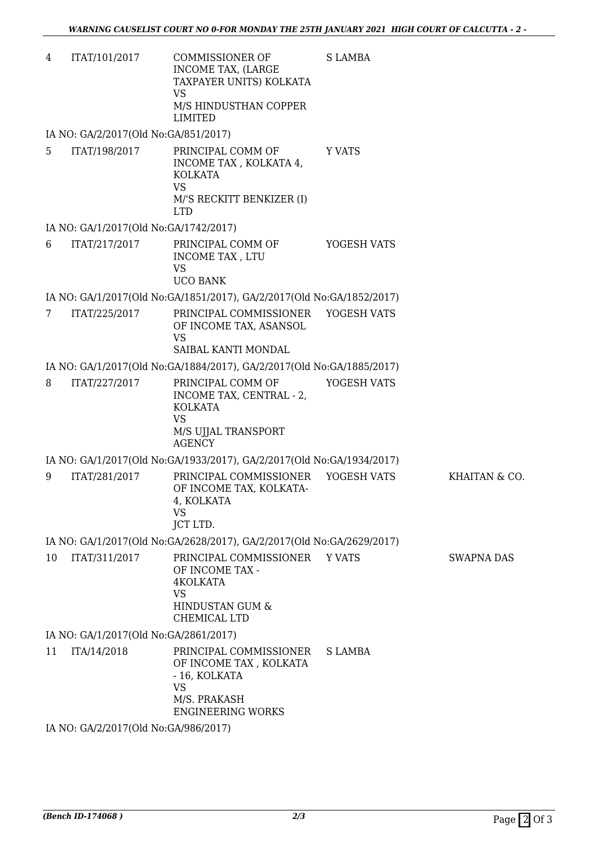| 4 | ITAT/101/2017 | COMMISSIONER OF         | S LAMBA |
|---|---------------|-------------------------|---------|
|   |               | INCOME TAX. (LARGE      |         |
|   |               | TAXPAYER UNITS) KOLKATA |         |
|   |               | VS                      |         |
|   |               | M/S HINDUSTHAN COPPER   |         |
|   |               | LIMITED                 |         |

IA NO: GA/2/2017(Old No:GA/851/2017)

5 ITAT/198/2017 PRINCIPAL COMM OF INCOME TAX , KOLKATA 4, KOLKATA VS M/'S RECKITT BENKIZER (I) LTD Y VATS

#### IA NO: GA/1/2017(Old No:GA/1742/2017)

6 ITAT/217/2017 PRINCIPAL COMM OF INCOME TAX , LTU VS UCO BANK YOGESH VATS

IA NO: GA/1/2017(Old No:GA/1851/2017), GA/2/2017(Old No:GA/1852/2017)

7 ITAT/225/2017 PRINCIPAL COMMISSIONER OF INCOME TAX, ASANSOL VS SAIBAL KANTI MONDAL YOGESH VATS

IA NO: GA/1/2017(Old No:GA/1884/2017), GA/2/2017(Old No:GA/1885/2017)

8 ITAT/227/2017 PRINCIPAL COMM OF INCOME TAX, CENTRAL - 2, KOLKATA VS M/S UJJAL TRANSPORT AGENCY YOGESH VATS

IA NO: GA/1/2017(Old No:GA/1933/2017), GA/2/2017(Old No:GA/1934/2017)

9 ITAT/281/2017 PRINCIPAL COMMISSIONER OF INCOME TAX, KOLKATA-4, KOLKATA VS JCT LTD. YOGESH VATS KHAITAN & CO.

IA NO: GA/1/2017(Old No:GA/2628/2017), GA/2/2017(Old No:GA/2629/2017)

10 ITAT/311/2017 PRINCIPAL COMMISSIONER OF INCOME TAX - 4KOLKATA VS HINDUSTAN GUM & CHEMICAL LTD Y VATS SWAPNA DAS

IA NO: GA/1/2017(Old No:GA/2861/2017)

11 ITA/14/2018 PRINCIPAL COMMISSIONER OF INCOME TAX , KOLKATA - 16, KOLKATA VS M/S. PRAKASH ENGINEERING WORKS S LAMBA

IA NO: GA/2/2017(Old No:GA/986/2017)